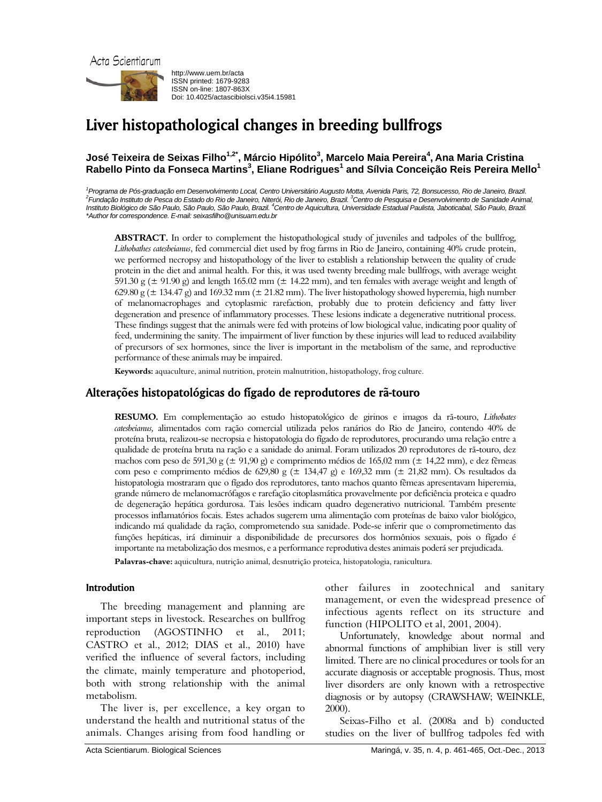

http://www.uem.br/acta ISSN printed: 1679-9283 ISSN on-line: 1807-863X Doi: 10.4025/actascibiolsci.v35i4.15981

# Liver histopathological changes in breeding bullfrogs

# **José Teixeira de Seixas Filho1,2\*, Márcio Hipólito3 , Marcelo Maia Pereira<sup>4</sup> , Ana Maria Cristina Rabello Pinto da Fonseca Martins<sup>3</sup> , Eliane Rodrigues<sup>1</sup> and Sílvia Conceição Reis Pereira Mello<sup>1</sup>**

<sup>1</sup> Programa de Pós-graduação em Desenvolvimento Local, Centro Universitário Augusto Motta, Avenida Paris, 72, Bonsucesso, Rio de Janeiro, Brazil.<br><sup>2</sup> Eugépeão Ipatituto de Pesso de Estado de Pio de Janeiro Nitarái. Pio de *Fundação Instituto de Pesca do Estado do Rio de Janeiro, Niterói, Rio de Janeiro, Brazil. 3 Centro de Pesquisa e Desenvolvimento de Sanidade Animal,*  Instituto Biológico de São Paulo, São Paulo, São Paulo, Brazil. <sup>4</sup>Centro de Aquicultura, Universidade Estadual Paulista, Jaboticabal, São Paulo, Brazil. *\*Author for correspondence. E-mail: seixasfilho@unisuam.edu.br* 

**ABSTRACT.** In order to complement the histopathological study of juveniles and tadpoles of the bullfrog, *Lithobathes catesbeianus*, fed commercial diet used by frog farms in Rio de Janeiro, containing 40% crude protein, we performed necropsy and histopathology of the liver to establish a relationship between the quality of crude protein in the diet and animal health. For this, it was used twenty breeding male bullfrogs, with average weight 591.30 g ( $\pm$  91.90 g) and length 165.02 mm ( $\pm$  14.22 mm), and ten females with average weight and length of 629.80 g ( $\pm$  134.47 g) and 169.32 mm ( $\pm$  21.82 mm). The liver histopathology showed hyperemia, high number of melanomacrophages and cytoplasmic rarefaction, probably due to protein deficiency and fatty liver degeneration and presence of inflammatory processes. These lesions indicate a degenerative nutritional process. These findings suggest that the animals were fed with proteins of low biological value, indicating poor quality of feed, undermining the sanity. The impairment of liver function by these injuries will lead to reduced availability of precursors of sex hormones, since the liver is important in the metabolism of the same, and reproductive performance of these animals may be impaired.

**Keywords:** aquaculture, animal nutrition, protein malnutrition, histopathology, frog culture.

# Alterações histopatológicas do fígado de reprodutores de rã-touro

**RESUMO.** Em complementação ao estudo histopatológico de girinos e imagos da rã-touro, *Lithobates catesbeianus,* alimentados com ração comercial utilizada pelos ranários do Rio de Janeiro, contendo 40% de proteína bruta, realizou-se necropsia e histopatologia do fígado de reprodutores, procurando uma relação entre a qualidade de proteína bruta na ração e a sanidade do animal. Foram utilizados 20 reprodutores de rã-touro, dez machos com peso de 591,30 g ( $\pm$  91,90 g) e comprimento médios de 165,02 mm ( $\pm$  14,22 mm), e dez fêmeas com peso e comprimento médios de 629,80 g (± 134,47 g) e 169,32 mm (± 21,82 mm). Os resultados da histopatologia mostraram que o fígado dos reprodutores, tanto machos quanto fêmeas apresentavam hiperemia, grande número de melanomacrófagos e rarefação citoplasmática provavelmente por deficiência proteica e quadro de degeneração hepática gordurosa. Tais lesões indicam quadro degenerativo nutricional. Também presente processos inflamatórios focais. Estes achados sugerem uma alimentação com proteínas de baixo valor biológico, indicando má qualidade da ração, comprometendo sua sanidade. Pode-se inferir que o comprometimento das funções hepáticas, irá diminuir a disponibilidade de precursores dos hormônios sexuais, pois o fígado é importante na metabolização dos mesmos, e a performance reprodutiva destes animais poderá ser prejudicada.

**Palavras-chave:** aquicultura, nutrição animal, desnutrição proteica, histopatologia, ranicultura.

## Introdution

The breeding management and planning are important steps in livestock. Researches on bullfrog reproduction (AGOSTINHO et al., 2011; CASTRO et al., 2012; DIAS et al., 2010) have verified the influence of several factors, including the climate, mainly temperature and photoperiod, both with strong relationship with the animal metabolism.

The liver is, per excellence, a key organ to understand the health and nutritional status of the animals. Changes arising from food handling or other failures in zootechnical and sanitary management, or even the widespread presence of infectious agents reflect on its structure and function (HIPOLITO et al, 2001, 2004).

Unfortunately, knowledge about normal and abnormal functions of amphibian liver is still very limited. There are no clinical procedures or tools for an accurate diagnosis or acceptable prognosis. Thus, most liver disorders are only known with a retrospective diagnosis or by autopsy (CRAWSHAW; WEINKLE, 2000).

Seixas-Filho et al. (2008a and b) conducted studies on the liver of bullfrog tadpoles fed with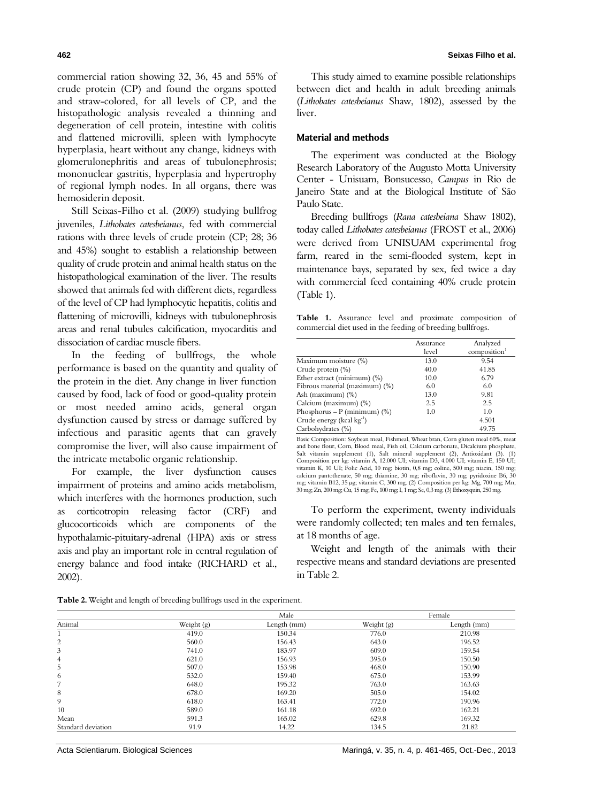commercial ration showing 32, 36, 45 and 55% of crude protein (CP) and found the organs spotted and straw-colored, for all levels of CP, and the histopathologic analysis revealed a thinning and degeneration of cell protein, intestine with colitis and flattened microvilli, spleen with lymphocyte hyperplasia, heart without any change, kidneys with glomerulonephritis and areas of tubulonephrosis; mononuclear gastritis, hyperplasia and hypertrophy of regional lymph nodes. In all organs, there was hemosiderin deposit.

Still Seixas-Filho et al. (2009) studying bullfrog juveniles, *Lithobates catesbeianus*, fed with commercial rations with three levels of crude protein (CP; 28; 36 and 45%) sought to establish a relationship between quality of crude protein and animal health status on the histopathological examination of the liver. The results showed that animals fed with different diets, regardless of the level of CP had lymphocytic hepatitis, colitis and flattening of microvilli, kidneys with tubulonephrosis areas and renal tubules calcification, myocarditis and dissociation of cardiac muscle fibers.

In the feeding of bullfrogs, the whole performance is based on the quantity and quality of the protein in the diet. Any change in liver function caused by food, lack of food or good-quality protein or most needed amino acids, general organ dysfunction caused by stress or damage suffered by infectious and parasitic agents that can gravely compromise the liver, will also cause impairment of the intricate metabolic organic relationship.

For example, the liver dysfunction causes impairment of proteins and amino acids metabolism, which interferes with the hormones production, such as corticotropin releasing factor (CRF) and glucocorticoids which are components of the hypothalamic-pituitary-adrenal (HPA) axis or stress axis and play an important role in central regulation of energy balance and food intake (RICHARD et al., 2002).

This study aimed to examine possible relationships between diet and health in adult breeding animals (*Lithobates catesbeianus* Shaw, 1802), assessed by the liver.

### Material and methods

The experiment was conducted at the Biology Research Laboratory of the Augusto Motta University Center - Unisuam, Bonsucesso, *Campus* in Rio de Janeiro State and at the Biological Institute of São Paulo State.

Breeding bullfrogs (*Rana catesbeiana* Shaw 1802), today called *Lithobates catesbeianus* (FROST et al., 2006) were derived from UNISUAM experimental frog farm, reared in the semi-flooded system, kept in maintenance bays, separated by sex, fed twice a day with commercial feed containing 40% crude protein (Table 1).

**Table 1.** Assurance level and proximate composition of commercial diet used in the feeding of breeding bullfrogs.

|                                        | Assurance | Analyzed    |
|----------------------------------------|-----------|-------------|
|                                        | level     | composition |
| Maximum moisture (%)                   | 13.0      | 9.54        |
| Crude protein (%)                      | 40.0      | 41.85       |
| Ether extract (minimum) (%)            | 10.0      | 6.79        |
| Fibrous material (maximum) (%)         | 6.0       | 6.0         |
| Ash (maximum) (%)                      | 13.0      | 9.81        |
| Calcium (maximum) (%)                  | 2.5       | 2.5         |
| Phosphorus – P (minimum) $\frac{1}{2}$ | 1.0       | 1.0         |
| Crude energy (kcal kg-1)               |           | 4.501       |
| Carbohydrates (%)                      |           | 49.75       |

Basic Composition: Soybean meal, Fishmeal, Wheat bran, Corn gluten meal 60%, meat and bone flour, Corn, Blood meal, Fish oil, Calcium carbonate, Dicalcium phosphate, Salt vitamin supplement (1), Salt mineral supplement (2), Antioxidant (3). (1) Composition per kg: vitamin A, 12.000 UI; vitamin D3, 4.000 UI; vitamin E, 150 UI; vitamin K, 10 UI; Folic Acid, 10 mg; biotin, 0,8 mg; coline, 500 mg; niacin, 150 mg; calcium pantothenate, 50 mg; thiamine, 30 mg; riboflavin, 30 mg; pyridoxine B6, 30<br>mg; vitamin B12, 35 µg; vitamin C, 300 mg. (2) Composition per kg: Mg, 700 mg; Mn,<br>30 mg; Zn, 200 mg; Cu, 15 mg; Fe, 100 mg; I, 1 mg; Se, 0

To perform the experiment, twenty individuals were randomly collected; ten males and ten females, at 18 months of age.

Weight and length of the animals with their respective means and standard deviations are presented in Table 2.

|  |  | Table 2. Weight and length of breeding bullfrogs used in the experiment. |
|--|--|--------------------------------------------------------------------------|
|  |  |                                                                          |

|                    | Male       |             | Female     |             |
|--------------------|------------|-------------|------------|-------------|
| Animal             | Weight (g) | Length (mm) | Weight (g) | Length (mm) |
|                    | 419.0      | 150.34      | 776.0      | 210.98      |
| 2                  | 560.0      | 156.43      | 643.0      | 196.52      |
| 3                  | 741.0      | 183.97      | 609.0      | 159.54      |
| $\overline{4}$     | 621.0      | 156.93      | 395.0      | 150.50      |
| 5                  | 507.0      | 153.98      | 468.0      | 150.90      |
| 6                  | 532.0      | 159.40      | 675.0      | 153.99      |
| 7                  | 648.0      | 195.32      | 763.0      | 163.63      |
| 8                  | 678.0      | 169.20      | 505.0      | 154.02      |
| 9                  | 618.0      | 163.41      | 772.0      | 190.96      |
| 10                 | 589.0      | 161.18      | 692.0      | 162.21      |
| Mean               | 591.3      | 165.02      | 629.8      | 169.32      |
| Standard deviation | 91.9       | 14.22       | 134.5      | 21.82       |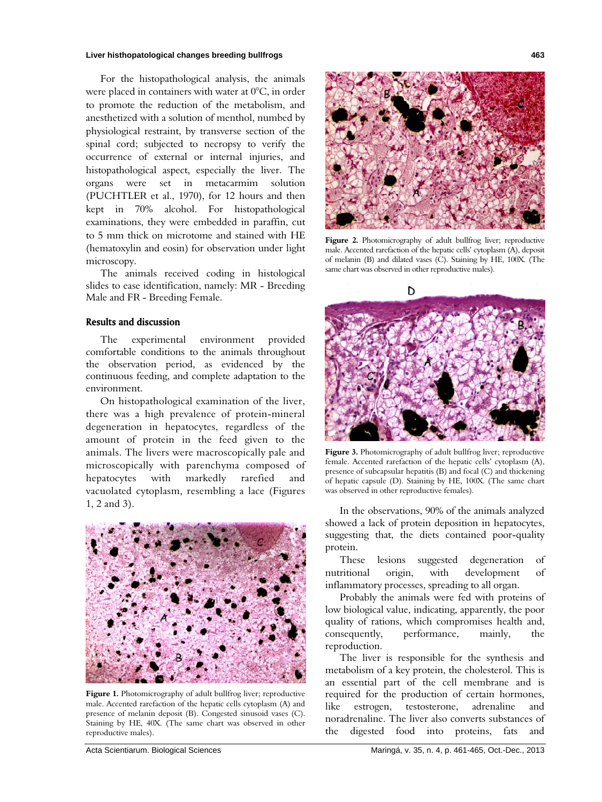#### **Liver histhopatological changes breeding bullfrogs 463**

For the histopathological analysis, the animals were placed in containers with water at 0°C, in order to promote the reduction of the metabolism, and anesthetized with a solution of menthol, numbed by physiological restraint, by transverse section of the spinal cord; subjected to necropsy to verify the occurrence of external or internal injuries, and histopathological aspect, especially the liver. The organs were set in metacarmim solution (PUCHTLER et al., 1970), for 12 hours and then kept in 70% alcohol. For histopathological examinations, they were embedded in paraffin, cut to 5 mm thick on microtome and stained with HE (hematoxylin and eosin) for observation under light microscopy.

The animals received coding in histological slides to ease identification, namely: MR - Breeding Male and FR - Breeding Female.

## Results and discussion

The experimental environment provided comfortable conditions to the animals throughout the observation period, as evidenced by the continuous feeding, and complete adaptation to the environment.

On histopathological examination of the liver, there was a high prevalence of protein-mineral degeneration in hepatocytes, regardless of the amount of protein in the feed given to the animals. The livers were macroscopically pale and microscopically with parenchyma composed of hepatocytes with markedly rarefied and vacuolated cytoplasm, resembling a lace (Figures 1, 2 and 3).



Figure 1. Photomicrography of adult bullfrog liver; reproductive male. Accented rarefaction of the hepatic cells cytoplasm (A) and presence of melanin deposit (B). Congested sinusoid vases (C). Staining by HE, 40X. (The same chart was observed in other reproductive males).



Figure 2. Photomicrography of adult bullfrog liver; reproductive male. Accented rarefaction of the hepatic cells' cytoplasm (A), deposit of melanin (B) and dilated vases (C). Staining by HE, 100X. (The same chart was observed in other reproductive males).



**Figure 3.** Photomicrography of adult bullfrog liver; reproductive female. Accented rarefaction of the hepatic cells' cytoplasm (A), presence of subcapsular hepatitis (B) and focal (C) and thickening of hepatic capsule (D). Staining by HE, 100X. (The same chart was observed in other reproductive females).

In the observations, 90% of the animals analyzed showed a lack of protein deposition in hepatocytes, suggesting that, the diets contained poor-quality protein.

These lesions suggested degeneration of nutritional origin, with development of inflammatory processes, spreading to all organ.

Probably the animals were fed with proteins of low biological value, indicating, apparently, the poor quality of rations, which compromises health and, consequently, performance, mainly, reproduction.

The liver is responsible for the synthesis and metabolism of a key protein, the cholesterol. This is an essential part of the cell membrane and is required for the production of certain hormones, like estrogen, testosterone, adrenaline and noradrenaline. The liver also converts substances of the digested food into proteins, fats and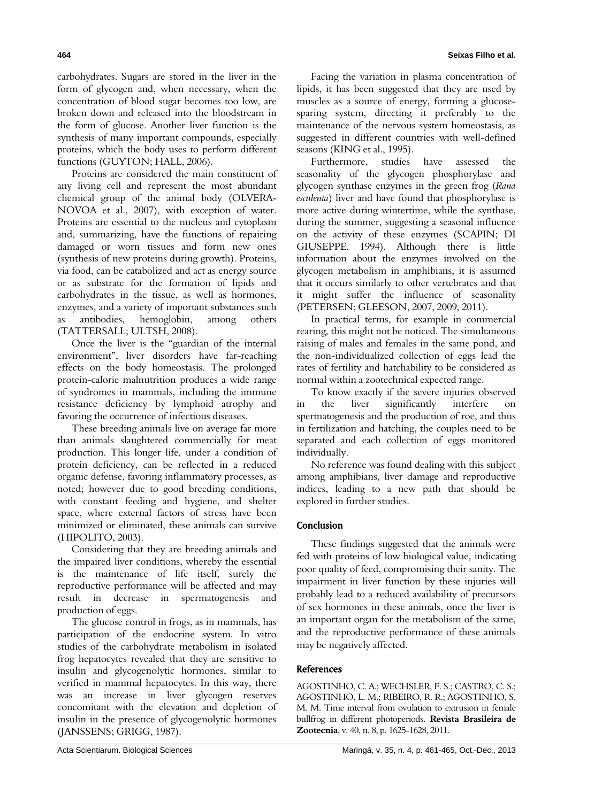carbohydrates. Sugars are stored in the liver in the form of glycogen and, when necessary, when the concentration of blood sugar becomes too low, are broken down and released into the bloodstream in the form of glucose. Another liver function is the synthesis of many important compounds, especially proteins, which the body uses to perform different functions (GUYTON; HALL, 2006).

Proteins are considered the main constituent of any living cell and represent the most abundant chemical group of the animal body (OLVERA-NOVOA et al., 2007), with exception of water. Proteins are essential to the nucleus and cytoplasm and, summarizing, have the functions of repairing damaged or worn tissues and form new ones (synthesis of new proteins during growth). Proteins, via food, can be catabolized and act as energy source or as substrate for the formation of lipids and carbohydrates in the tissue, as well as hormones, enzymes, and a variety of important substances such as antibodies, hemoglobin, among others (TATTERSALL; ULTSH, 2008).

Once the liver is the "guardian of the internal environment", liver disorders have far-reaching effects on the body homeostasis. The prolonged protein-calorie malnutrition produces a wide range of syndromes in mammals, including the immune resistance deficiency by lymphoid atrophy and favoring the occurrence of infectious diseases.

These breeding animals live on average far more than animals slaughtered commercially for meat production. This longer life, under a condition of protein deficiency, can be reflected in a reduced organic defense, favoring inflammatory processes, as noted; however due to good breeding conditions, with constant feeding and hygiene, and shelter space, where external factors of stress have been minimized or eliminated, these animals can survive (HIPOLITO, 2003).

Considering that they are breeding animals and the impaired liver conditions, whereby the essential is the maintenance of life itself, surely the reproductive performance will be affected and may result in decrease in spermatogenesis and production of eggs.

The glucose control in frogs, as in mammals, has participation of the endocrine system. In vitro studies of the carbohydrate metabolism in isolated frog hepatocytes revealed that they are sensitive to insulin and glycogenolytic hormones, similar to verified in mammal hepatocytes. In this way, there was an increase in liver glycogen reserves concomitant with the elevation and depletion of insulin in the presence of glycogenolytic hormones (JANSSENS; GRIGG, 1987).

Facing the variation in plasma concentration of lipids, it has been suggested that they are used by muscles as a source of energy, forming a glucosesparing system, directing it preferably to the maintenance of the nervous system homeostasis, as suggested in different countries with well-defined seasons (KING et al., 1995).

Furthermore, studies have assessed the seasonality of the glycogen phosphorylase and glycogen synthase enzymes in the green frog (*Rana esculenta*) liver and have found that phosphorylase is more active during wintertime, while the synthase, during the summer, suggesting a seasonal influence on the activity of these enzymes (SCAPIN; DI GIUSEPPE, 1994). Although there is little information about the enzymes involved on the glycogen metabolism in amphibians, it is assumed that it occurs similarly to other vertebrates and that it might suffer the influence of seasonality (PETERSEN; GLEESON, 2007, 2009, 2011).

In practical terms, for example in commercial rearing, this might not be noticed. The simultaneous raising of males and females in the same pond, and the non-individualized collection of eggs lead the rates of fertility and hatchability to be considered as normal within a zootechnical expected range.

To know exactly if the severe injuries observed in the liver significantly interfere on spermatogenesis and the production of roe, and thus in fertilization and hatching, the couples need to be separated and each collection of eggs monitored individually.

No reference was found dealing with this subject among amphibians, liver damage and reproductive indices, leading to a new path that should be explored in further studies.

# Conclusion

These findings suggested that the animals were fed with proteins of low biological value, indicating poor quality of feed, compromising their sanity. The impairment in liver function by these injuries will probably lead to a reduced availability of precursors of sex hormones in these animals, once the liver is an important organ for the metabolism of the same, and the reproductive performance of these animals may be negatively affected.

## **References**

AGOSTINHO, C. A.; WECHSLER, F. S.; CASTRO, C. S.; AGOSTINHO, L. M.; RIBEIRO, R. R.; AGOSTINHO, S. M. M. Time interval from ovulation to extrusion in female bullfrog in different photoperiods. **Revista Brasileira de Zootecnia**, v. 40, n. 8, p. 1625-1628, 2011.